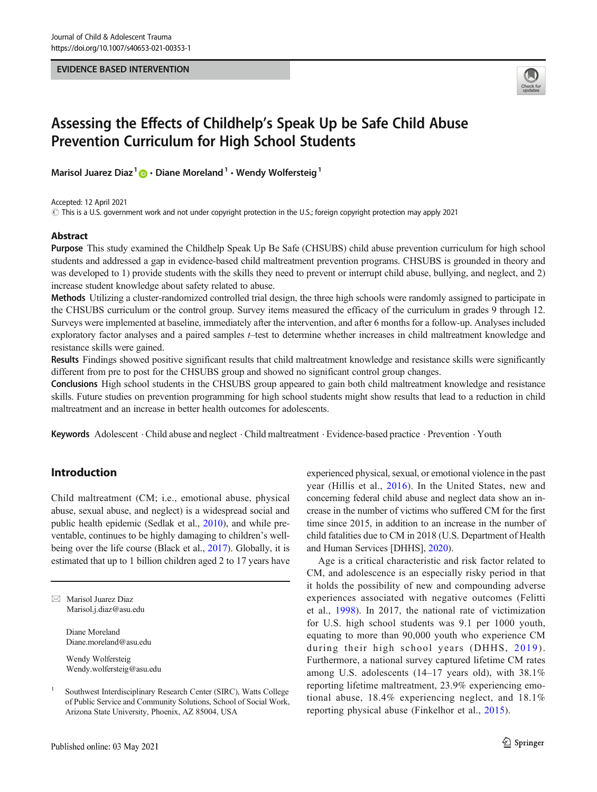#### EVIDENCE BASED INTERVENTION



# Assessing the Effects of Childhelp's Speak Up be Safe Child Abuse Prevention Curriculum for High School Students

Marisol Juarez Diaz<sup>1</sup>  $\mathbf{D} \cdot \mathbf{D}$ iane Moreland<sup>1</sup>  $\cdot$  Wendy Wolfersteig<sup>1</sup>

Accepted: 12 April 2021

 $\odot$  This is a U.S. government work and not under copyright protection in the U.S.; foreign copyright protection may apply 2021

## **Abstract**

Purpose This study examined the Childhelp Speak Up Be Safe (CHSUBS) child abuse prevention curriculum for high school students and addressed a gap in evidence-based child maltreatment prevention programs. CHSUBS is grounded in theory and was developed to 1) provide students with the skills they need to prevent or interrupt child abuse, bullying, and neglect, and 2) increase student knowledge about safety related to abuse.

Methods Utilizing a cluster-randomized controlled trial design, the three high schools were randomly assigned to participate in the CHSUBS curriculum or the control group. Survey items measured the efficacy of the curriculum in grades 9 through 12. Surveys were implemented at baseline, immediately after the intervention, and after 6 months for a follow-up. Analyses included exploratory factor analyses and a paired samples t–test to determine whether increases in child maltreatment knowledge and resistance skills were gained.

Results Findings showed positive significant results that child maltreatment knowledge and resistance skills were significantly different from pre to post for the CHSUBS group and showed no significant control group changes.

Conclusions High school students in the CHSUBS group appeared to gain both child maltreatment knowledge and resistance skills. Future studies on prevention programming for high school students might show results that lead to a reduction in child maltreatment and an increase in better health outcomes for adolescents.

Keywords Adolescent . Child abuse and neglect . Child maltreatment . Evidence-based practice . Prevention . Youth

# Introduction

Child maltreatment (CM; i.e., emotional abuse, physical abuse, sexual abuse, and neglect) is a widespread social and public health epidemic (Sedlak et al., [2010](#page-7-0)), and while preventable, continues to be highly damaging to children's wellbeing over the life course (Black et al., [2017\)](#page-6-0). Globally, it is estimated that up to 1 billion children aged 2 to 17 years have

 $\boxtimes$  Marisol Juarez Diaz Marisol.j.diaz@asu.edu

> Diane Moreland Diane.moreland@asu.edu

Wendy Wolfersteig Wendy.wolfersteig@asu.edu

Published online: 03 May 2021

experienced physical, sexual, or emotional violence in the past year (Hillis et al., [2016\)](#page-7-0). In the United States, new and concerning federal child abuse and neglect data show an increase in the number of victims who suffered CM for the first time since 2015, in addition to an increase in the number of child fatalities due to CM in 2018 (U.S. Department of Health and Human Services [DHHS], [2020](#page-7-0)).

Age is a critical characteristic and risk factor related to CM, and adolescence is an especially risky period in that it holds the possibility of new and compounding adverse experiences associated with negative outcomes (Felitti et al., [1998\)](#page-7-0). In 2017, the national rate of victimization for U.S. high school students was 9.1 per 1000 youth, equating to more than 90,000 youth who experience CM during their high school years (DHHS, [2019](#page-7-0)). Furthermore, a national survey captured lifetime CM rates among U.S. adolescents (14–17 years old), with 38.1% reporting lifetime maltreatment, 23.9% experiencing emotional abuse, 18.4% experiencing neglect, and 18.1% reporting physical abuse (Finkelhor et al., [2015\)](#page-7-0).

<sup>1</sup> Southwest Interdisciplinary Research Center (SIRC), Watts College of Public Service and Community Solutions, School of Social Work, Arizona State University, Phoenix, AZ 85004, USA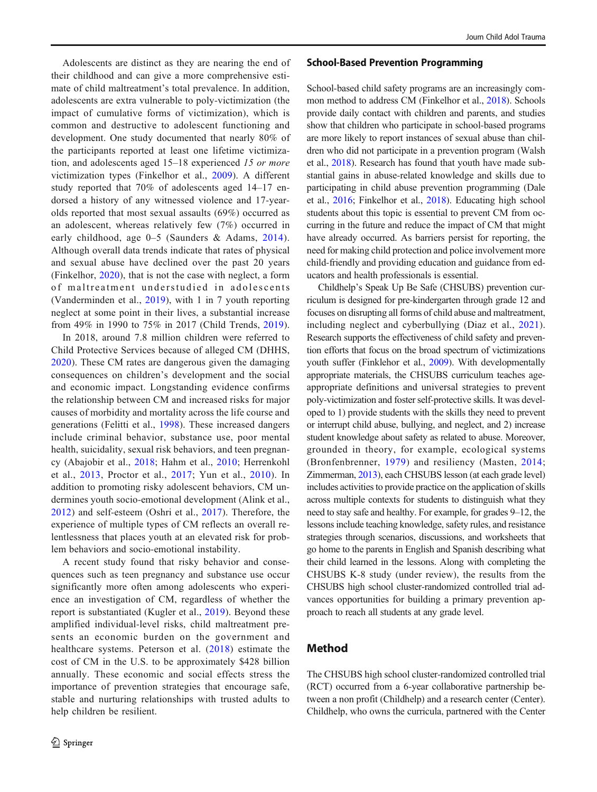Adolescents are distinct as they are nearing the end of their childhood and can give a more comprehensive estimate of child maltreatment's total prevalence. In addition, adolescents are extra vulnerable to poly-victimization (the impact of cumulative forms of victimization), which is common and destructive to adolescent functioning and development. One study documented that nearly 80% of the participants reported at least one lifetime victimization, and adolescents aged 15–18 experienced 15 or more victimization types (Finkelhor et al., [2009](#page-7-0)). A different study reported that 70% of adolescents aged 14–17 endorsed a history of any witnessed violence and 17-yearolds reported that most sexual assaults (69%) occurred as an adolescent, whereas relatively few (7%) occurred in early childhood, age 0–5 (Saunders & Adams, [2014](#page-7-0)). Although overall data trends indicate that rates of physical and sexual abuse have declined over the past 20 years (Finkelhor, [2020\)](#page-7-0), that is not the case with neglect, a form of maltreatment understudied in adolescents (Vanderminden et al., [2019](#page-7-0)), with 1 in 7 youth reporting neglect at some point in their lives, a substantial increase from 49% in 1990 to 75% in 2017 (Child Trends, [2019](#page-6-0)).

In 2018, around 7.8 million children were referred to Child Protective Services because of alleged CM (DHHS, [2020](#page-7-0)). These CM rates are dangerous given the damaging consequences on children's development and the social and economic impact. Longstanding evidence confirms the relationship between CM and increased risks for major causes of morbidity and mortality across the life course and generations (Felitti et al., [1998](#page-7-0)). These increased dangers include criminal behavior, substance use, poor mental health, suicidality, sexual risk behaviors, and teen pregnancy (Abajobir et al., [2018;](#page-6-0) Hahm et al., [2010;](#page-7-0) Herrenkohl et al., [2013,](#page-7-0) Proctor et al., [2017;](#page-7-0) Yun et al., [2010](#page-7-0)). In addition to promoting risky adolescent behaviors, CM undermines youth socio-emotional development (Alink et al., [2012](#page-6-0)) and self-esteem (Oshri et al., [2017\)](#page-7-0). Therefore, the experience of multiple types of CM reflects an overall relentlessness that places youth at an elevated risk for problem behaviors and socio-emotional instability.

A recent study found that risky behavior and consequences such as teen pregnancy and substance use occur significantly more often among adolescents who experience an investigation of CM, regardless of whether the report is substantiated (Kugler et al., [2019\)](#page-7-0). Beyond these amplified individual-level risks, child maltreatment presents an economic burden on the government and healthcare systems. Peterson et al. ([2018\)](#page-7-0) estimate the cost of CM in the U.S. to be approximately \$428 billion annually. These economic and social effects stress the importance of prevention strategies that encourage safe, stable and nurturing relationships with trusted adults to help children be resilient.

#### School-Based Prevention Programming

School-based child safety programs are an increasingly common method to address CM (Finkelhor et al., [2018](#page-7-0)). Schools provide daily contact with children and parents, and studies show that children who participate in school-based programs are more likely to report instances of sexual abuse than children who did not participate in a prevention program (Walsh et al., [2018](#page-7-0)). Research has found that youth have made substantial gains in abuse-related knowledge and skills due to participating in child abuse prevention programming (Dale et al., [2016;](#page-6-0) Finkelhor et al., [2018](#page-7-0)). Educating high school students about this topic is essential to prevent CM from occurring in the future and reduce the impact of CM that might have already occurred. As barriers persist for reporting, the need for making child protection and police involvement more child-friendly and providing education and guidance from educators and health professionals is essential.

Childhelp's Speak Up Be Safe (CHSUBS) prevention curriculum is designed for pre-kindergarten through grade 12 and focuses on disrupting all forms of child abuse and maltreatment, including neglect and cyberbullying (Diaz et al., [2021](#page-7-0)). Research supports the effectiveness of child safety and prevention efforts that focus on the broad spectrum of victimizations youth suffer (Finklehor et al., [2009\)](#page-7-0). With developmentally appropriate materials, the CHSUBS curriculum teaches ageappropriate definitions and universal strategies to prevent poly-victimization and foster self-protective skills. It was developed to 1) provide students with the skills they need to prevent or interrupt child abuse, bullying, and neglect, and 2) increase student knowledge about safety as related to abuse. Moreover, grounded in theory, for example, ecological systems (Bronfenbrenner, [1979](#page-6-0)) and resiliency (Masten, [2014;](#page-7-0) Zimmerman, [2013\)](#page-7-0), each CHSUBS lesson (at each grade level) includes activities to provide practice on the application of skills across multiple contexts for students to distinguish what they need to stay safe and healthy. For example, for grades 9–12, the lessons include teaching knowledge, safety rules, and resistance strategies through scenarios, discussions, and worksheets that go home to the parents in English and Spanish describing what their child learned in the lessons. Along with completing the CHSUBS K-8 study (under review), the results from the CHSUBS high school cluster-randomized controlled trial advances opportunities for building a primary prevention approach to reach all students at any grade level.

## Method

The CHSUBS high school cluster-randomized controlled trial (RCT) occurred from a 6-year collaborative partnership between a non profit (Childhelp) and a research center (Center). Childhelp, who owns the curricula, partnered with the Center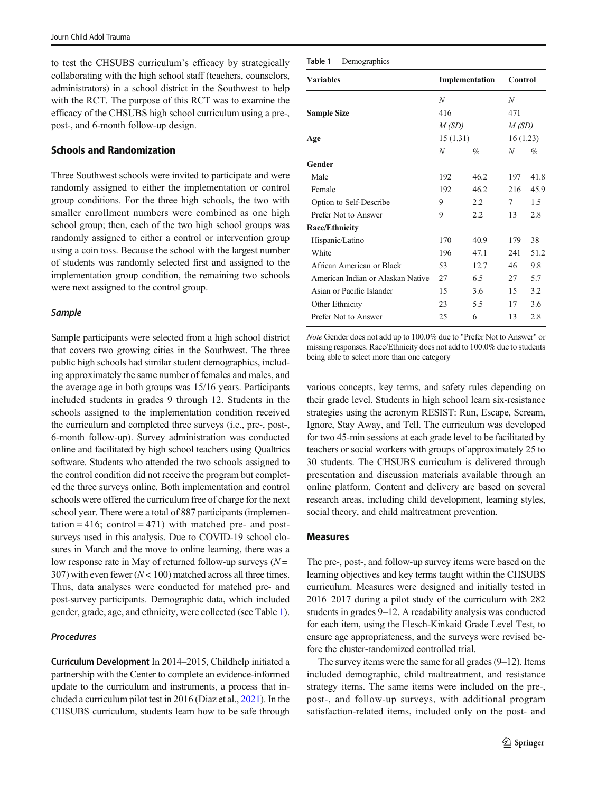to test the CHSUBS curriculum's efficacy by strategically collaborating with the high school staff (teachers, counselors, administrators) in a school district in the Southwest to help with the RCT. The purpose of this RCT was to examine the efficacy of the CHSUBS high school curriculum using a pre-, post-, and 6-month follow-up design.

#### Schools and Randomization

Three Southwest schools were invited to participate and were randomly assigned to either the implementation or control group conditions. For the three high schools, the two with smaller enrollment numbers were combined as one high school group; then, each of the two high school groups was randomly assigned to either a control or intervention group using a coin toss. Because the school with the largest number of students was randomly selected first and assigned to the implementation group condition, the remaining two schools were next assigned to the control group.

#### Sample

Sample participants were selected from a high school district that covers two growing cities in the Southwest. The three public high schools had similar student demographics, including approximately the same number of females and males, and the average age in both groups was 15/16 years. Participants included students in grades 9 through 12. Students in the schools assigned to the implementation condition received the curriculum and completed three surveys (i.e., pre-, post-, 6-month follow-up). Survey administration was conducted online and facilitated by high school teachers using Qualtrics software. Students who attended the two schools assigned to the control condition did not receive the program but completed the three surveys online. Both implementation and control schools were offered the curriculum free of charge for the next school year. There were a total of 887 participants (implementation = 416; control = 471) with matched pre- and postsurveys used in this analysis. Due to COVID-19 school closures in March and the move to online learning, there was a low response rate in May of returned follow-up surveys  $(N =$ 307) with even fewer  $(N < 100)$  matched across all three times. Thus, data analyses were conducted for matched pre- and post-survey participants. Demographic data, which included gender, grade, age, and ethnicity, were collected (see Table 1).

#### Procedures

Curriculum Development In 2014–2015, Childhelp initiated a partnership with the Center to complete an evidence-informed update to the curriculum and instruments, a process that included a curriculum pilot test in 2016 (Diaz et al., [2021\)](#page-7-0). In the CHSUBS curriculum, students learn how to be safe through

| <b>Variables</b>                  |          | Implementation | <b>Control</b> |      |
|-----------------------------------|----------|----------------|----------------|------|
|                                   | N        |                | N              |      |
| <b>Sample Size</b>                | 416      |                | 471            |      |
|                                   | M(SD)    |                | M(SD)          |      |
| Age                               | 15(1.31) |                | 16(1.23)       |      |
|                                   | N        | $\%$           | N              | %    |
| Gender                            |          |                |                |      |
| Male                              | 192      | 46.2           | 197            | 41.8 |
| Female                            | 192      | 46.2           | 216            | 45.9 |
| Option to Self-Describe           | 9        | 2.2            | 7              | 1.5  |
| Prefer Not to Answer              | 9        | 2.2            | 13             | 2.8  |
| <b>Race/Ethnicity</b>             |          |                |                |      |
| Hispanic/Latino                   | 170      | 40.9           | 179            | 38   |
| White                             | 196      | 47.1           | 241            | 51.2 |
| African American or Black         | 53       | 12.7           | 46             | 9.8  |
| American Indian or Alaskan Native | 27       | 6.5            | 27             | 5.7  |
| Asian or Pacific Islander         | 15       | 3.6            | 15             | 3.2  |
| Other Ethnicity                   | 23       | 5.5            | 17             | 3.6  |
| Prefer Not to Answer              | 25       | 6              | 13             | 2.8  |
|                                   |          |                |                |      |

Note Gender does not add up to 100.0% due to "Prefer Not to Answer" or missing responses. Race/Ethnicity does not add to 100.0% due to students being able to select more than one category

various concepts, key terms, and safety rules depending on their grade level. Students in high school learn six-resistance strategies using the acronym RESIST: Run, Escape, Scream, Ignore, Stay Away, and Tell. The curriculum was developed for two 45-min sessions at each grade level to be facilitated by teachers or social workers with groups of approximately 25 to 30 students. The CHSUBS curriculum is delivered through presentation and discussion materials available through an online platform. Content and delivery are based on several research areas, including child development, learning styles, social theory, and child maltreatment prevention.

#### Measures

The pre-, post-, and follow-up survey items were based on the learning objectives and key terms taught within the CHSUBS curriculum. Measures were designed and initially tested in 2016–2017 during a pilot study of the curriculum with 282 students in grades 9–12. A readability analysis was conducted for each item, using the Flesch-Kinkaid Grade Level Test, to ensure age appropriateness, and the surveys were revised before the cluster-randomized controlled trial.

The survey items were the same for all grades (9–12). Items included demographic, child maltreatment, and resistance strategy items. The same items were included on the pre-, post-, and follow-up surveys, with additional program satisfaction-related items, included only on the post- and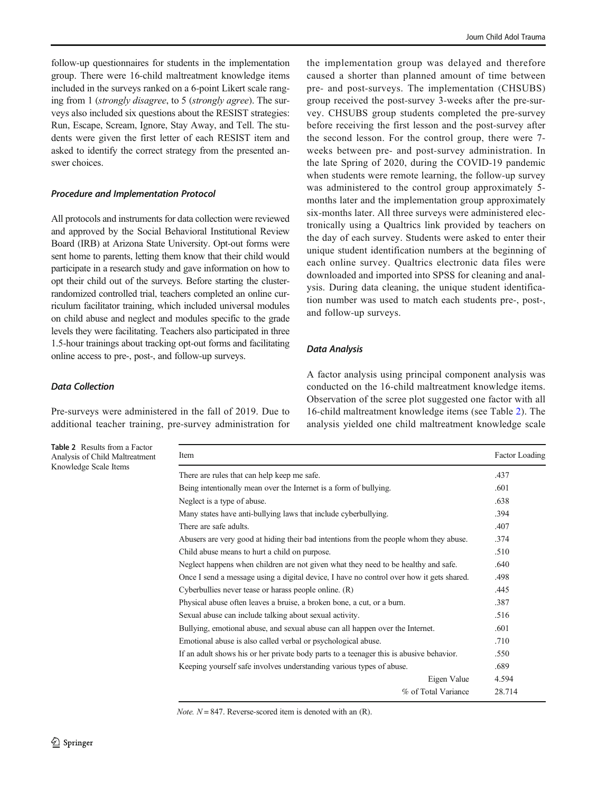follow-up questionnaires for students in the implementation group. There were 16-child maltreatment knowledge items included in the surveys ranked on a 6-point Likert scale ranging from 1 (strongly disagree, to 5 (strongly agree). The surveys also included six questions about the RESIST strategies: Run, Escape, Scream, Ignore, Stay Away, and Tell. The students were given the first letter of each RESIST item and asked to identify the correct strategy from the presented answer choices.

## Procedure and Implementation Protocol

All protocols and instruments for data collection were reviewed and approved by the Social Behavioral Institutional Review Board (IRB) at Arizona State University. Opt-out forms were sent home to parents, letting them know that their child would participate in a research study and gave information on how to opt their child out of the surveys. Before starting the clusterrandomized controlled trial, teachers completed an online curriculum facilitator training, which included universal modules on child abuse and neglect and modules specific to the grade levels they were facilitating. Teachers also participated in three 1.5-hour trainings about tracking opt-out forms and facilitating online access to pre-, post-, and follow-up surveys.

## Data Collection

Pre-surveys were administered in the fall of 2019. Due to additional teacher training, pre-survey administration for

Table 2 Results from a Factor Analysis of Child Maltreatment Knowledge Scale Items

the implementation group was delayed and therefore caused a shorter than planned amount of time between pre- and post-surveys. The implementation (CHSUBS) group received the post-survey 3-weeks after the pre-survey. CHSUBS group students completed the pre-survey before receiving the first lesson and the post-survey after the second lesson. For the control group, there were 7 weeks between pre- and post-survey administration. In the late Spring of 2020, during the COVID-19 pandemic when students were remote learning, the follow-up survey was administered to the control group approximately 5 months later and the implementation group approximately six-months later. All three surveys were administered electronically using a Qualtrics link provided by teachers on the day of each survey. Students were asked to enter their unique student identification numbers at the beginning of each online survey. Qualtrics electronic data files were downloaded and imported into SPSS for cleaning and analysis. During data cleaning, the unique student identification number was used to match each students pre-, post-, and follow-up surveys.

#### Data Analysis

A factor analysis using principal component analysis was conducted on the 16-child maltreatment knowledge items. Observation of the scree plot suggested one factor with all 16-child maltreatment knowledge items (see Table 2). The analysis yielded one child maltreatment knowledge scale

| Item                                                                                     | Factor Loading |
|------------------------------------------------------------------------------------------|----------------|
| There are rules that can help keep me safe.                                              | .437           |
| Being intentionally mean over the Internet is a form of bullying.                        | .601           |
| Neglect is a type of abuse.                                                              | .638           |
| Many states have anti-bullying laws that include cyberbullying.                          | .394           |
| There are safe adults.                                                                   | .407           |
| Abusers are very good at hiding their bad intentions from the people whom they abuse.    | .374           |
| Child abuse means to hurt a child on purpose.                                            | .510           |
| Neglect happens when children are not given what they need to be healthy and safe.       | .640           |
| Once I send a message using a digital device, I have no control over how it gets shared. | .498           |
| Cyberbullies never tease or harass people online. (R)                                    | .445           |
| Physical abuse often leaves a bruise, a broken bone, a cut, or a burn.                   | .387           |
| Sexual abuse can include talking about sexual activity.                                  | .516           |
| Bullying, emotional abuse, and sexual abuse can all happen over the Internet.            | .601           |
| Emotional abuse is also called verbal or psychological abuse.                            | .710           |
| If an adult shows his or her private body parts to a teenager this is abusive behavior.  | .550           |
| Keeping yourself safe involves understanding various types of abuse.                     | .689           |
| Eigen Value                                                                              | 4.594          |
| % of Total Variance                                                                      | 28.714         |

*Note.*  $N = 847$ . Reverse-scored item is denoted with an  $(R)$ .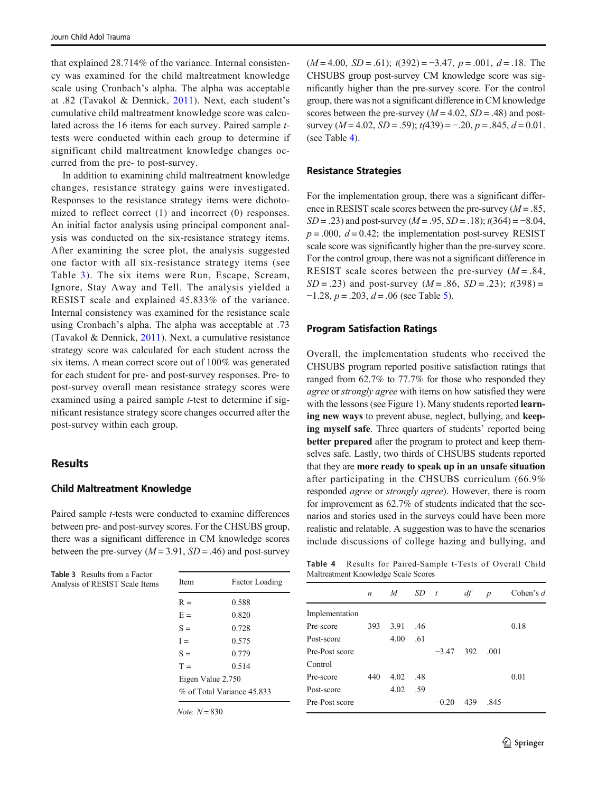that explained 28.714% of the variance. Internal consistency was examined for the child maltreatment knowledge scale using Cronbach's alpha. The alpha was acceptable at .82 (Tavakol & Dennick, [2011](#page-7-0)). Next, each student's cumulative child maltreatment knowledge score was calculated across the 16 items for each survey. Paired sample ttests were conducted within each group to determine if significant child maltreatment knowledge changes occurred from the pre- to post-survey.

In addition to examining child maltreatment knowledge changes, resistance strategy gains were investigated. Responses to the resistance strategy items were dichotomized to reflect correct (1) and incorrect (0) responses. An initial factor analysis using principal component analysis was conducted on the six-resistance strategy items. After examining the scree plot, the analysis suggested one factor with all six-resistance strategy items (see Table 3). The six items were Run, Escape, Scream, Ignore, Stay Away and Tell. The analysis yielded a RESIST scale and explained 45.833% of the variance. Internal consistency was examined for the resistance scale using Cronbach's alpha. The alpha was acceptable at .73 (Tavakol & Dennick, [2011\)](#page-7-0). Next, a cumulative resistance strategy score was calculated for each student across the six items. A mean correct score out of 100% was generated for each student for pre- and post-survey responses. Pre- to post-survey overall mean resistance strategy scores were examined using a paired sample *t*-test to determine if significant resistance strategy score changes occurred after the post-survey within each group.

## Results

#### Child Maltreatment Knowledge

Paired sample t-tests were conducted to examine differences between pre- and post-survey scores. For the CHSUBS group, there was a significant difference in CM knowledge scores between the pre-survey ( $M = 3.91$ ,  $SD = .46$ ) and post-survey

Table 3 Results from a Factor Analysis of RESIST Scale Items

| Item                       | <b>Factor Loading</b> |  |  |  |  |
|----------------------------|-----------------------|--|--|--|--|
| $R =$                      | 0.588                 |  |  |  |  |
| $E =$                      | 0.820                 |  |  |  |  |
| $S =$                      | 0.728                 |  |  |  |  |
| $I =$                      | 0.575                 |  |  |  |  |
| $S =$                      | 0.779                 |  |  |  |  |
| $T =$                      | 0.514                 |  |  |  |  |
| Eigen Value 2.750          |                       |  |  |  |  |
| % of Total Variance 45.833 |                       |  |  |  |  |
|                            |                       |  |  |  |  |

Note.  $N = 830$ 

 $(M=4.00, SD = .61)$ ;  $t(392) = -3.47, p = .001, d = .18$ . The CHSUBS group post-survey CM knowledge score was significantly higher than the pre-survey score. For the control group, there was not a significant difference in CM knowledge scores between the pre-survey  $(M = 4.02, SD = .48)$  and postsurvey ( $M = 4.02$ ,  $SD = .59$ );  $t(439) = -.20$ ,  $p = .845$ ,  $d = 0.01$ . (see Table 4).

#### Resistance Strategies

For the implementation group, there was a significant difference in RESIST scale scores between the pre-survey  $(M = .85, )$  $SD = .23$ ) and post-survey ( $M = .95$ ,  $SD = .18$ );  $t(364) = -8.04$ ,  $p = .000$ ,  $d = 0.42$ ; the implementation post-survey RESIST scale score was significantly higher than the pre-survey score. For the control group, there was not a significant difference in RESIST scale scores between the pre-survey  $(M = .84, )$  $SD = .23$ ) and post-survey  $(M = .86, SD = .23)$ ;  $t(398) =$  $-1.28$ ,  $p = .203$ ,  $d = .06$  (see Table [5](#page-5-0)).

#### Program Satisfaction Ratings

Overall, the implementation students who received the CHSUBS program reported positive satisfaction ratings that ranged from 62.7% to 77.7% for those who responded they agree or strongly agree with items on how satisfied they were with the lessons (see Figure [1](#page-5-0)). Many students reported learning new ways to prevent abuse, neglect, bullying, and keeping myself safe. Three quarters of students' reported being better prepared after the program to protect and keep themselves safe. Lastly, two thirds of CHSUBS students reported that they are more ready to speak up in an unsafe situation after participating in the CHSUBS curriculum (66.9% responded agree or strongly agree). However, there is room for improvement as 62.7% of students indicated that the scenarios and stories used in the surveys could have been more realistic and relatable. A suggestion was to have the scenarios include discussions of college hazing and bullying, and

Table 4 Results for Paired-Sample t-Tests of Overall Child Maltreatment Knowledge Scale Scores

|                | $\tilde{}$       |      |     |                  |     |                  |             |  |
|----------------|------------------|------|-----|------------------|-----|------------------|-------------|--|
|                | $\boldsymbol{n}$ | M    | SD  | $\boldsymbol{t}$ | df  | $\boldsymbol{p}$ | Cohen's $d$ |  |
| Implementation |                  |      |     |                  |     |                  |             |  |
| Pre-score      | 393              | 3.91 | .46 |                  |     |                  | 0.18        |  |
| Post-score     |                  | 4.00 | .61 |                  |     |                  |             |  |
| Pre-Post score |                  |      |     | $-3.47$          | 392 | .001             |             |  |
| Control        |                  |      |     |                  |     |                  |             |  |
| Pre-score      | 440              | 4.02 | .48 |                  |     |                  | 0.01        |  |
| Post-score     |                  | 4.02 | .59 |                  |     |                  |             |  |
| Pre-Post score |                  |      |     | $-0.20$          | 439 | .845             |             |  |
|                |                  |      |     |                  |     |                  |             |  |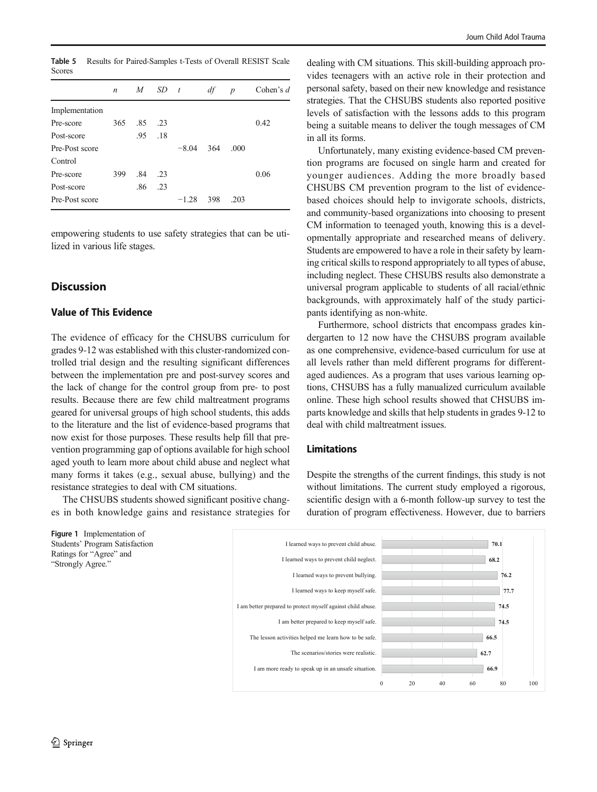<span id="page-5-0"></span>Table 5 Results for Paired-Samples t-Tests of Overall RESIST Scale Scores

|                | $\boldsymbol{n}$ | $M_{\odot}$ | SD. | $\mathbf{t}$ | df  | $\boldsymbol{p}$ | Cohen's $d$ |
|----------------|------------------|-------------|-----|--------------|-----|------------------|-------------|
| Implementation |                  |             |     |              |     |                  |             |
| Pre-score      | 365              | .85         | .23 |              |     |                  | 0.42        |
| Post-score     |                  | .95         | .18 |              |     |                  |             |
| Pre-Post score |                  |             |     | $-8.04$      | 364 | .000             |             |
| Control        |                  |             |     |              |     |                  |             |
| Pre-score      | 399              | .84         | .23 |              |     |                  | 0.06        |
| Post-score     |                  | .86         | .23 |              |     |                  |             |
| Pre-Post score |                  |             |     | $-1.28$      | 398 | .203             |             |

empowering students to use safety strategies that can be utilized in various life stages.

# **Discussion**

## Value of This Evidence

The evidence of efficacy for the CHSUBS curriculum for grades 9-12 was established with this cluster-randomized controlled trial design and the resulting significant differences between the implementation pre and post-survey scores and the lack of change for the control group from pre- to post results. Because there are few child maltreatment programs geared for universal groups of high school students, this adds to the literature and the list of evidence-based programs that now exist for those purposes. These results help fill that prevention programming gap of options available for high school aged youth to learn more about child abuse and neglect what many forms it takes (e.g., sexual abuse, bullying) and the resistance strategies to deal with CM situations.

The CHSUBS students showed significant positive changes in both knowledge gains and resistance strategies for

Figure 1 Implementation of Students' Program Satisfaction Ratings for "Agree" and "Strongly Agree."

dealing with CM situations. This skill-building approach provides teenagers with an active role in their protection and personal safety, based on their new knowledge and resistance strategies. That the CHSUBS students also reported positive levels of satisfaction with the lessons adds to this program being a suitable means to deliver the tough messages of CM in all its forms.

Unfortunately, many existing evidence-based CM prevention programs are focused on single harm and created for younger audiences. Adding the more broadly based CHSUBS CM prevention program to the list of evidencebased choices should help to invigorate schools, districts, and community-based organizations into choosing to present CM information to teenaged youth, knowing this is a developmentally appropriate and researched means of delivery. Students are empowered to have a role in their safety by learning critical skills to respond appropriately to all types of abuse, including neglect. These CHSUBS results also demonstrate a universal program applicable to students of all racial/ethnic backgrounds, with approximately half of the study participants identifying as non-white.

Furthermore, school districts that encompass grades kindergarten to 12 now have the CHSUBS program available as one comprehensive, evidence-based curriculum for use at all levels rather than meld different programs for differentaged audiences. As a program that uses various learning options, CHSUBS has a fully manualized curriculum available online. These high school results showed that CHSUBS imparts knowledge and skills that help students in grades 9-12 to deal with child maltreatment issues.

# Limitations

Despite the strengths of the current findings, this study is not without limitations. The current study employed a rigorous, scientific design with a 6-month follow-up survey to test the duration of program effectiveness. However, due to barriers

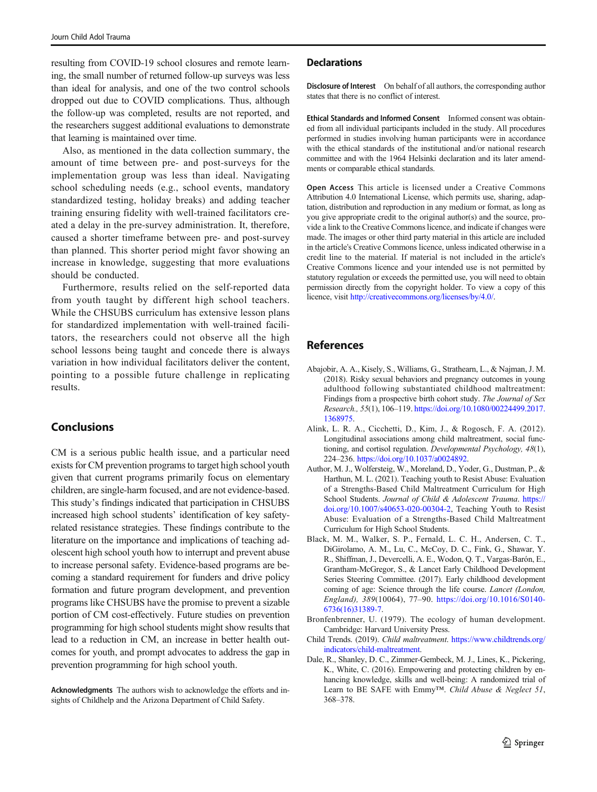<span id="page-6-0"></span>resulting from COVID-19 school closures and remote learning, the small number of returned follow-up surveys was less than ideal for analysis, and one of the two control schools dropped out due to COVID complications. Thus, although the follow-up was completed, results are not reported, and the researchers suggest additional evaluations to demonstrate that learning is maintained over time.

Also, as mentioned in the data collection summary, the amount of time between pre- and post-surveys for the implementation group was less than ideal. Navigating school scheduling needs (e.g., school events, mandatory standardized testing, holiday breaks) and adding teacher training ensuring fidelity with well-trained facilitators created a delay in the pre-survey administration. It, therefore, caused a shorter timeframe between pre- and post-survey than planned. This shorter period might favor showing an increase in knowledge, suggesting that more evaluations should be conducted.

Furthermore, results relied on the self-reported data from youth taught by different high school teachers. While the CHSUBS curriculum has extensive lesson plans for standardized implementation with well-trained facilitators, the researchers could not observe all the high school lessons being taught and concede there is always variation in how individual facilitators deliver the content, pointing to a possible future challenge in replicating results.

# **Conclusions**

CM is a serious public health issue, and a particular need exists for CM prevention programs to target high school youth given that current programs primarily focus on elementary children, are single-harm focused, and are not evidence-based. This study's findings indicated that participation in CHSUBS increased high school students' identification of key safetyrelated resistance strategies. These findings contribute to the literature on the importance and implications of teaching adolescent high school youth how to interrupt and prevent abuse to increase personal safety. Evidence-based programs are becoming a standard requirement for funders and drive policy formation and future program development, and prevention programs like CHSUBS have the promise to prevent a sizable portion of CM cost-effectively. Future studies on prevention programming for high school students might show results that lead to a reduction in CM, an increase in better health outcomes for youth, and prompt advocates to address the gap in prevention programming for high school youth.

Acknowledgments The authors wish to acknowledge the efforts and insights of Childhelp and the Arizona Department of Child Safety.

#### **Declarations**

Disclosure of Interest On behalf of all authors, the corresponding author states that there is no conflict of interest.

Ethical Standards and Informed Consent Informed consent was obtained from all individual participants included in the study. All procedures performed in studies involving human participants were in accordance with the ethical standards of the institutional and/or national research committee and with the 1964 Helsinki declaration and its later amendments or comparable ethical standards.

Open Access This article is licensed under a Creative Commons Attribution 4.0 International License, which permits use, sharing, adaptation, distribution and reproduction in any medium or format, as long as you give appropriate credit to the original author(s) and the source, provide a link to the Creative Commons licence, and indicate if changes were made. The images or other third party material in this article are included in the article's Creative Commons licence, unless indicated otherwise in a credit line to the material. If material is not included in the article's Creative Commons licence and your intended use is not permitted by statutory regulation or exceeds the permitted use, you will need to obtain permission directly from the copyright holder. To view a copy of this licence, visit http://creativecommons.org/licenses/by/4.0/.

# References

- Abajobir, A. A., Kisely, S., Williams, G., Strathearn, L., & Najman, J. M. (2018). Risky sexual behaviors and pregnancy outcomes in young adulthood following substantiated childhood maltreatment: Findings from a prospective birth cohort study. The Journal of Sex Research., 55(1), 106–119. https://doi.org/10.1080/00224499.2017. 1368975.
- Alink, L. R. A., Cicchetti, D., Kim, J., & Rogosch, F. A. (2012). Longitudinal associations among child maltreatment, social functioning, and cortisol regulation. Developmental Psychology, 48(1), 224–236. https://doi.org/10.1037/a0024892.
- Author, M. J., Wolfersteig, W., Moreland, D., Yoder, G., Dustman, P., & Harthun, M. L. (2021). Teaching youth to Resist Abuse: Evaluation of a Strengths-Based Child Maltreatment Curriculum for High School Students. Journal of Child & Adolescent Trauma. https:// doi.org/10.1007/s40653-020-00304-2, Teaching Youth to Resist Abuse: Evaluation of a Strengths-Based Child Maltreatment Curriculum for High School Students.
- Black, M. M., Walker, S. P., Fernald, L. C. H., Andersen, C. T., DiGirolamo, A. M., Lu, C., McCoy, D. C., Fink, G., Shawar, Y. R., Shiffman, J., Devercelli, A. E., Wodon, Q. T., Vargas-Barón, E., Grantham-McGregor, S., & Lancet Early Childhood Development Series Steering Committee. (2017). Early childhood development coming of age: Science through the life course. Lancet (London, England), 389(10064), 77–90. https://doi.org/10.1016/S0140- 6736(16)31389-7.
- Bronfenbrenner, U. (1979). The ecology of human development. Cambridge: Harvard University Press.
- Child Trends. (2019). Child maltreatment. https://www.childtrends.org/ indicators/child-maltreatment.
- Dale, R., Shanley, D. C., Zimmer-Gembeck, M. J., Lines, K., Pickering, K., White, C. (2016). Empowering and protecting children by enhancing knowledge, skills and well-being: A randomized trial of Learn to BE SAFE with Emmy™. Child Abuse & Neglect 51, 368–378.